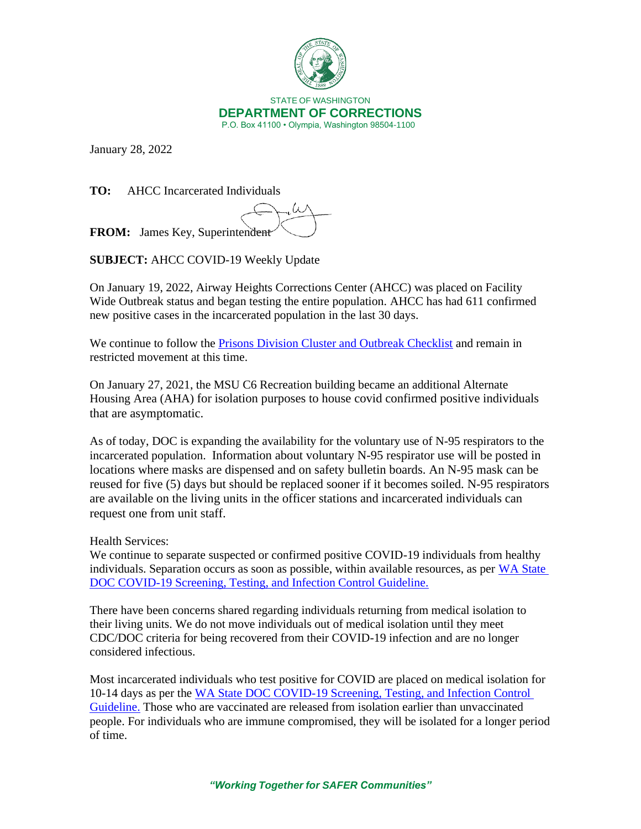

January 28, 2022

**TO:** AHCC Incarcerated Individuals

.. U **FROM:** James Key, Superintendent

**SUBJECT:** AHCC COVID-19 Weekly Update

On January 19, 2022, Airway Heights Corrections Center (AHCC) was placed on Facility Wide Outbreak status and began testing the entire population. AHCC has had 611 confirmed new positive cases in the incarcerated population in the last 30 days.

We continue to follow the **[Prisons Division Cluster and Outbreak Checklist](https://doc.wa.gov/corrections/covid-19/docs/outbreak-checklist.pdf)** and remain in restricted movement at this time.

On January 27, 2021, the MSU C6 Recreation building became an additional Alternate Housing Area (AHA) for isolation purposes to house covid confirmed positive individuals that are asymptomatic.

As of today, DOC is expanding the availability for the voluntary use of N-95 respirators to the incarcerated population. Information about voluntary N-95 respirator use will be posted in locations where masks are dispensed and on safety bulletin boards. An N-95 mask can be reused for five (5) days but should be replaced sooner if it becomes soiled. N-95 respirators are available on the living units in the officer stations and incarcerated individuals can request one from unit staff.

Health Services:

We continue to separate suspected or confirmed positive COVID-19 individuals from healthy individuals. Separation occurs as soon as possible, within available resources, as per [WA State](https://gcc02.safelinks.protection.outlook.com/?url=https%3A%2F%2Fwww.doc.wa.gov%2Fcorrections%2Fcovid-19%2Fdocs%2Fscreening-testing-infection-control-guideline.pdf&data=04%7C01%7Csmbiller%40DOC1.WA.GOV%7C4bea03b8c8ac45d3bd7508d9e299f0c7%7C11d0e217264e400a8ba057dcc127d72d%7C0%7C0%7C637789973069176371%7CUnknown%7CTWFpbGZsb3d8eyJWIjoiMC4wLjAwMDAiLCJQIjoiV2luMzIiLCJBTiI6Ik1haWwiLCJXVCI6Mn0%3D%7C3000&sdata=76Vcus5ea9rGpL8ctCgNop39TpXywX7b5AB8egPgQ8o%3D&reserved=0)  [DOC COVID-19 Screening, Testing, and Infection Control Guideline.](https://gcc02.safelinks.protection.outlook.com/?url=https%3A%2F%2Fwww.doc.wa.gov%2Fcorrections%2Fcovid-19%2Fdocs%2Fscreening-testing-infection-control-guideline.pdf&data=04%7C01%7Csmbiller%40DOC1.WA.GOV%7C4bea03b8c8ac45d3bd7508d9e299f0c7%7C11d0e217264e400a8ba057dcc127d72d%7C0%7C0%7C637789973069176371%7CUnknown%7CTWFpbGZsb3d8eyJWIjoiMC4wLjAwMDAiLCJQIjoiV2luMzIiLCJBTiI6Ik1haWwiLCJXVCI6Mn0%3D%7C3000&sdata=76Vcus5ea9rGpL8ctCgNop39TpXywX7b5AB8egPgQ8o%3D&reserved=0)

There have been concerns shared regarding individuals returning from medical isolation to their living units. We do not move individuals out of medical isolation until they meet CDC/DOC criteria for being recovered from their COVID-19 infection and are no longer considered infectious.

Most incarcerated individuals who test positive for COVID are placed on medical isolation for 10-14 days as per the [WA State DOC COVID-19 Screening, Testing, and Infection Control](https://gcc02.safelinks.protection.outlook.com/?url=https%3A%2F%2Fwww.doc.wa.gov%2Fcorrections%2Fcovid-19%2Fdocs%2Fscreening-testing-infection-control-guideline.pdf&data=04%7C01%7Csmbiller%40DOC1.WA.GOV%7C4bea03b8c8ac45d3bd7508d9e299f0c7%7C11d0e217264e400a8ba057dcc127d72d%7C0%7C0%7C637789973069176371%7CUnknown%7CTWFpbGZsb3d8eyJWIjoiMC4wLjAwMDAiLCJQIjoiV2luMzIiLCJBTiI6Ik1haWwiLCJXVCI6Mn0%3D%7C3000&sdata=76Vcus5ea9rGpL8ctCgNop39TpXywX7b5AB8egPgQ8o%3D&reserved=0)  [Guideline.](https://gcc02.safelinks.protection.outlook.com/?url=https%3A%2F%2Fwww.doc.wa.gov%2Fcorrections%2Fcovid-19%2Fdocs%2Fscreening-testing-infection-control-guideline.pdf&data=04%7C01%7Csmbiller%40DOC1.WA.GOV%7C4bea03b8c8ac45d3bd7508d9e299f0c7%7C11d0e217264e400a8ba057dcc127d72d%7C0%7C0%7C637789973069176371%7CUnknown%7CTWFpbGZsb3d8eyJWIjoiMC4wLjAwMDAiLCJQIjoiV2luMzIiLCJBTiI6Ik1haWwiLCJXVCI6Mn0%3D%7C3000&sdata=76Vcus5ea9rGpL8ctCgNop39TpXywX7b5AB8egPgQ8o%3D&reserved=0) Those who are vaccinated are released from isolation earlier than unvaccinated people. For individuals who are immune compromised, they will be isolated for a longer period of time.